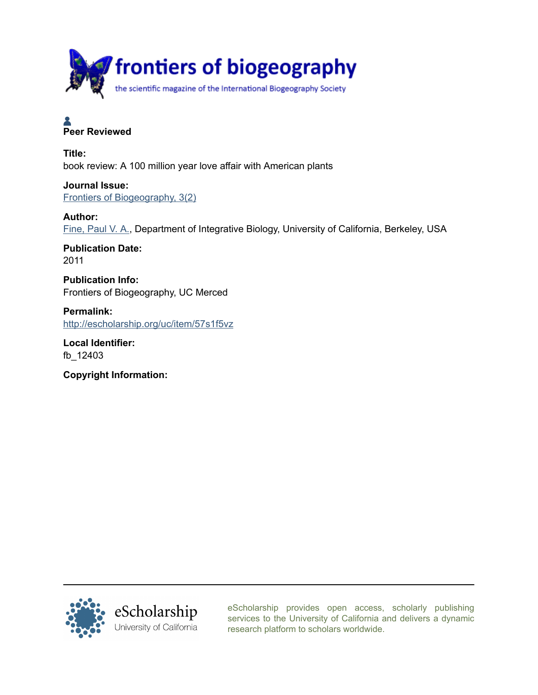

# **Peer Reviewed**

Title: book review: A 100 million year love affair with American plants

Journal Issue: [Frontiers of Biogeography, 3\(2\)](http://escholarship.org/uc/fb?volume=3;issue=2)

Author:

[Fine, Paul V. A.](http://escholarship.org/uc/search?creator=Fine%2C%20Paul%20V.%20A.), Department of Integrative Biology, University of California, Berkeley, USA

Publication Date: 2011

Publication Info: Frontiers of Biogeography, UC Merced

Permalink: <http://escholarship.org/uc/item/57s1f5vz>

Local Identifier: fb\_12403

Copyright Information:



[eScholarship provides open access, scholarly publishing](http://escholarship.org) [services to the University of California and delivers a dynamic](http://escholarship.org) [research platform to scholars worldwide.](http://escholarship.org)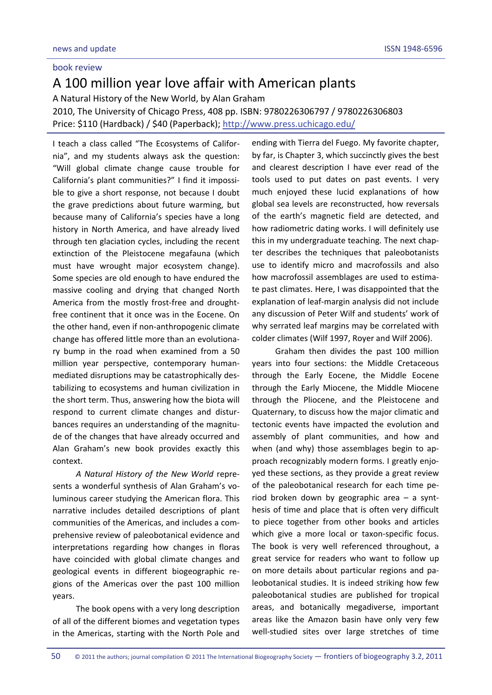### book review

## A 100 million year love affair with American plants

A Natural History of the New World, by Alan Graham

2010, The University of Chicago Press, 408 pp. ISBN: 9780226306797 / 9780226306803 Price: \$110 (Hardback) / \$40 (Paperback); <http://www.press.uchicago.edu/>

I teach a class called "The Ecosystems of Califor‐ nia", and my students always ask the question: "Will global climate change cause trouble for California's plant communities?" I find it impossi‐ ble to give a short response, not because I doubt the grave predictions about future warming, but because many of California's species have a long history in North America, and have already lived through ten glaciation cycles, including the recent extinction of the Pleistocene megafauna (which must have wrought major ecosystem change). Some species are old enough to have endured the massive cooling and drying that changed North America from the mostly frost‐free and drought‐ free continent that it once was in the Eocene. On the other hand, even if non‐anthropogenic climate change has offered little more than an evolutiona‐ ry bump in the road when examined from a 50 million year perspective, contemporary human‐ mediated disruptions may be catastrophically des‐ tabilizing to ecosystems and human civilization in the short term. Thus, answering how the biota will respond to current climate changes and distur‐ bances requires an understanding of the magnitu‐ de of the changes that have already occurred and Alan Graham's new book provides exactly this context.

*A Natural History of the New World* repre‐ sents a wonderful synthesis of Alan Graham's voluminous career studying the American flora. This narrative includes detailed descriptions of plant communities of the Americas, and includes a com‐ prehensive review of paleobotanical evidence and interpretations regarding how changes in floras have coincided with global climate changes and geological events in different biogeographic re‐ gions of the Americas over the past 100 million years.

The book opens with a very long description of all of the different biomes and vegetation types in the Americas, starting with the North Pole and

ending with Tierra del Fuego. My favorite chapter, by far, is Chapter 3, which succinctly gives the best and clearest description I have ever read of the tools used to put dates on past events. I very much enjoyed these lucid explanations of how global sea levels are reconstructed, how reversals of the earth's magnetic field are detected, and how radiometric dating works. I will definitely use this in my undergraduate teaching. The next chapter describes the techniques that paleobotanists use to identify micro and macrofossils and also how macrofossil assemblages are used to estima‐ te past climates. Here, I was disappointed that the explanation of leaf‐margin analysis did not include any discussion of Peter Wilf and students' work of why serrated leaf margins may be correlated with colder climates (Wilf 1997, Royer and Wilf 2006).

Graham then divides the past 100 million years into four sections: the Middle Cretaceous through the Early Eocene, the Middle Eocene through the Early Miocene, the Middle Miocene through the Pliocene, and the Pleistocene and Quaternary, to discuss how the major climatic and tectonic events have impacted the evolution and assembly of plant communities, and how and when (and why) those assemblages begin to approach recognizably modern forms. I greatly enjoyed these sections, as they provide a great review of the paleobotanical research for each time pe‐ riod broken down by geographic area – a synt‐ hesis of time and place that is often very difficult to piece together from other books and articles which give a more local or taxon-specific focus. The book is very well referenced throughout, a great service for readers who want to follow up on more details about particular regions and pa‐ leobotanical studies. It is indeed striking how few paleobotanical studies are published for tropical areas, and botanically megadiverse, important areas like the Amazon basin have only very few well‐studied sites over large stretches of time